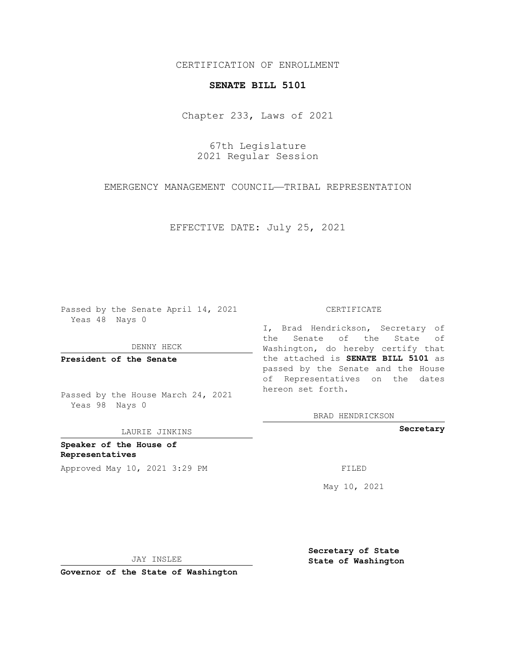CERTIFICATION OF ENROLLMENT

## **SENATE BILL 5101**

Chapter 233, Laws of 2021

67th Legislature 2021 Regular Session

EMERGENCY MANAGEMENT COUNCIL—TRIBAL REPRESENTATION

EFFECTIVE DATE: July 25, 2021

Passed by the Senate April 14, 2021 Yeas 48 Nays 0

DENNY HECK

**President of the Senate**

Passed by the House March 24, 2021 Yeas 98 Nays 0

LAURIE JINKINS

**Speaker of the House of Representatives** Approved May 10, 2021 3:29 PM FILED

#### CERTIFICATE

I, Brad Hendrickson, Secretary of the Senate of the State of Washington, do hereby certify that the attached is **SENATE BILL 5101** as passed by the Senate and the House of Representatives on the dates hereon set forth.

BRAD HENDRICKSON

**Secretary**

May 10, 2021

JAY INSLEE

**Secretary of State State of Washington**

**Governor of the State of Washington**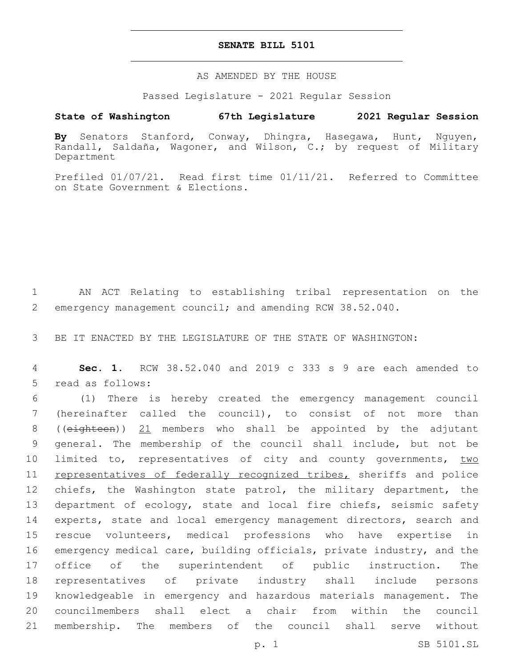## **SENATE BILL 5101**

#### AS AMENDED BY THE HOUSE

Passed Legislature - 2021 Regular Session

# **State of Washington 67th Legislature 2021 Regular Session**

**By** Senators Stanford, Conway, Dhingra, Hasegawa, Hunt, Nguyen, Randall, Saldaña, Wagoner, and Wilson, C.; by request of Military Department

Prefiled 01/07/21. Read first time 01/11/21. Referred to Committee on State Government & Elections.

1 AN ACT Relating to establishing tribal representation on the 2 emergency management council; and amending RCW 38.52.040.

3 BE IT ENACTED BY THE LEGISLATURE OF THE STATE OF WASHINGTON:

4 **Sec. 1.** RCW 38.52.040 and 2019 c 333 s 9 are each amended to 5 read as follows:

 (1) There is hereby created the emergency management council (hereinafter called the council), to consist of not more than 8 ((eighteen)) 21 members who shall be appointed by the adjutant general. The membership of the council shall include, but not be 10 limited to, representatives of city and county governments, two 11 representatives of federally recognized tribes, sheriffs and police 12 chiefs, the Washington state patrol, the military department, the department of ecology, state and local fire chiefs, seismic safety 14 experts, state and local emergency management directors, search and rescue volunteers, medical professions who have expertise in emergency medical care, building officials, private industry, and the office of the superintendent of public instruction. The representatives of private industry shall include persons knowledgeable in emergency and hazardous materials management. The councilmembers shall elect a chair from within the council membership. The members of the council shall serve without

p. 1 SB 5101.SL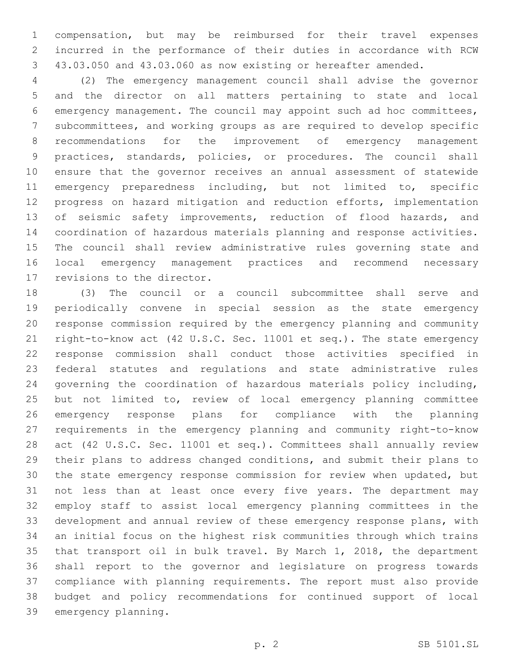compensation, but may be reimbursed for their travel expenses incurred in the performance of their duties in accordance with RCW 43.03.050 and 43.03.060 as now existing or hereafter amended.

 (2) The emergency management council shall advise the governor and the director on all matters pertaining to state and local emergency management. The council may appoint such ad hoc committees, subcommittees, and working groups as are required to develop specific recommendations for the improvement of emergency management practices, standards, policies, or procedures. The council shall ensure that the governor receives an annual assessment of statewide emergency preparedness including, but not limited to, specific progress on hazard mitigation and reduction efforts, implementation 13 of seismic safety improvements, reduction of flood hazards, and coordination of hazardous materials planning and response activities. The council shall review administrative rules governing state and local emergency management practices and recommend necessary 17 revisions to the director.

 (3) The council or a council subcommittee shall serve and periodically convene in special session as the state emergency response commission required by the emergency planning and community right-to-know act (42 U.S.C. Sec. 11001 et seq.). The state emergency response commission shall conduct those activities specified in federal statutes and regulations and state administrative rules governing the coordination of hazardous materials policy including, but not limited to, review of local emergency planning committee emergency response plans for compliance with the planning requirements in the emergency planning and community right-to-know act (42 U.S.C. Sec. 11001 et seq.). Committees shall annually review their plans to address changed conditions, and submit their plans to the state emergency response commission for review when updated, but not less than at least once every five years. The department may employ staff to assist local emergency planning committees in the development and annual review of these emergency response plans, with an initial focus on the highest risk communities through which trains that transport oil in bulk travel. By March 1, 2018, the department shall report to the governor and legislature on progress towards compliance with planning requirements. The report must also provide budget and policy recommendations for continued support of local 39 emergency planning.